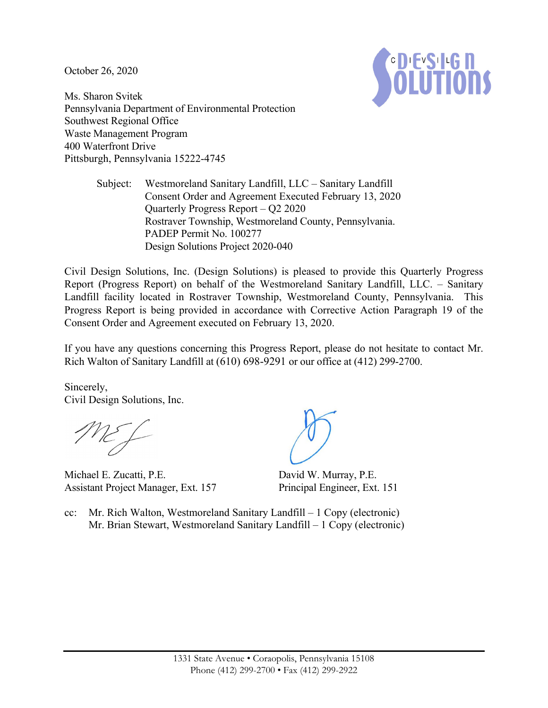October 26, 2020



Ms. Sharon Svitek Pennsylvania Department of Environmental Protection Southwest Regional Office Waste Management Program 400 Waterfront Drive Pittsburgh, Pennsylvania 15222-4745

> Subject: Westmoreland Sanitary Landfill, LLC – Sanitary Landfill Consent Order and Agreement Executed February 13, 2020 Quarterly Progress Report – Q2 2020 Rostraver Township, Westmoreland County, Pennsylvania. PADEP Permit No. 100277 Design Solutions Project 2020-040

Civil Design Solutions, Inc. (Design Solutions) is pleased to provide this Quarterly Progress Report (Progress Report) on behalf of the Westmoreland Sanitary Landfill, LLC. – Sanitary Landfill facility located in Rostraver Township, Westmoreland County, Pennsylvania. This Progress Report is being provided in accordance with Corrective Action Paragraph 19 of the Consent Order and Agreement executed on February 13, 2020.

If you have any questions concerning this Progress Report, please do not hesitate to contact Mr. Rich Walton of Sanitary Landfill at (610) 698-9291 or our office at (412) 299-2700.

Sincerely, Civil Design Solutions, Inc.

Michael E. Zucatti, P.E. Assistant Project Manager, Ext. 157

David W. Murray, P.E. Principal Engineer, Ext. 151

cc: Mr. Rich Walton, Westmoreland Sanitary Landfill – 1 Copy (electronic) Mr. Brian Stewart, Westmoreland Sanitary Landfill – 1 Copy (electronic)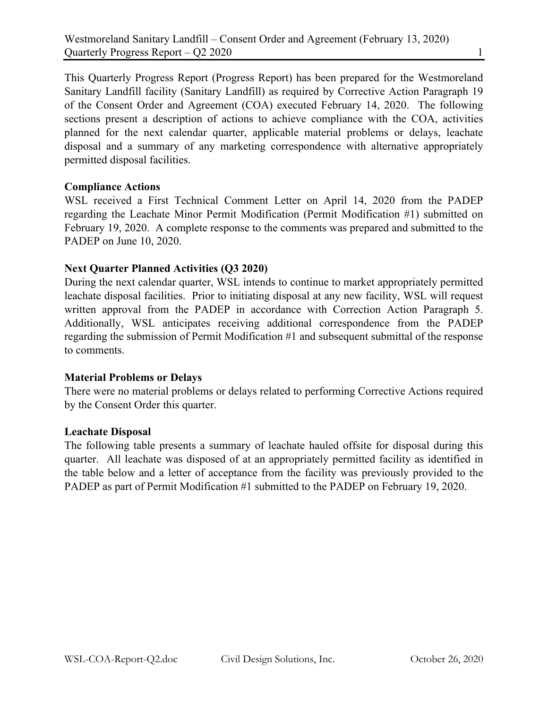This Quarterly Progress Report (Progress Report) has been prepared for the Westmoreland Sanitary Landfill facility (Sanitary Landfill) as required by Corrective Action Paragraph 19 of the Consent Order and Agreement (COA) executed February 14, 2020. The following sections present a description of actions to achieve compliance with the COA, activities planned for the next calendar quarter, applicable material problems or delays, leachate disposal and a summary of any marketing correspondence with alternative appropriately permitted disposal facilities.

## **Compliance Actions**

WSL received a First Technical Comment Letter on April 14, 2020 from the PADEP regarding the Leachate Minor Permit Modification (Permit Modification #1) submitted on February 19, 2020. A complete response to the comments was prepared and submitted to the PADEP on June 10, 2020.

## **Next Quarter Planned Activities (Q3 2020)**

During the next calendar quarter, WSL intends to continue to market appropriately permitted leachate disposal facilities. Prior to initiating disposal at any new facility, WSL will request written approval from the PADEP in accordance with Correction Action Paragraph 5. Additionally, WSL anticipates receiving additional correspondence from the PADEP regarding the submission of Permit Modification #1 and subsequent submittal of the response to comments.

### **Material Problems or Delays**

There were no material problems or delays related to performing Corrective Actions required by the Consent Order this quarter.

### **Leachate Disposal**

The following table presents a summary of leachate hauled offsite for disposal during this quarter. All leachate was disposed of at an appropriately permitted facility as identified in the table below and a letter of acceptance from the facility was previously provided to the PADEP as part of Permit Modification #1 submitted to the PADEP on February 19, 2020.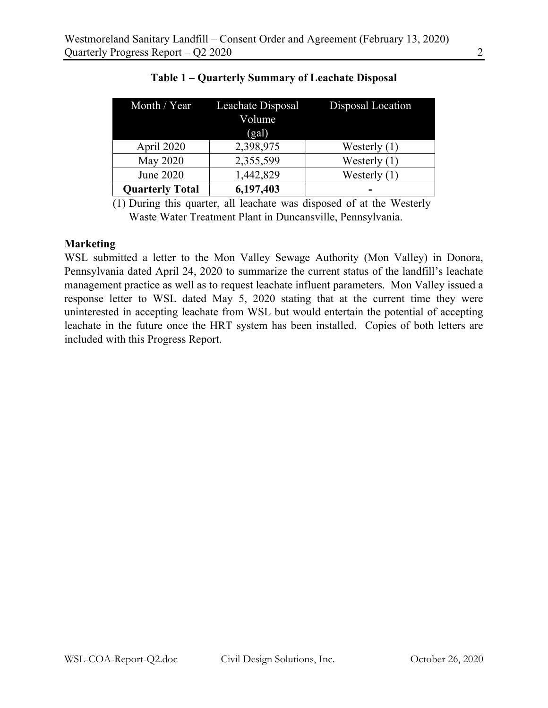| Month / $Year$         | Leachate Disposal<br>Volume<br>(gal) | Disposal Location |
|------------------------|--------------------------------------|-------------------|
| April 2020             | 2,398,975                            | Westerly $(1)$    |
| May 2020               | 2,355,599                            | Westerly $(1)$    |
| June 2020              | 1,442,829                            | Westerly $(1)$    |
| <b>Quarterly Total</b> | 6,197,403                            |                   |

(1) During this quarter, all leachate was disposed of at the Westerly Waste Water Treatment Plant in Duncansville, Pennsylvania.

#### **Marketing**

WSL submitted a letter to the Mon Valley Sewage Authority (Mon Valley) in Donora, Pennsylvania dated April 24, 2020 to summarize the current status of the landfill's leachate management practice as well as to request leachate influent parameters. Mon Valley issued a response letter to WSL dated May 5, 2020 stating that at the current time they were uninterested in accepting leachate from WSL but would entertain the potential of accepting leachate in the future once the HRT system has been installed. Copies of both letters are included with this Progress Report.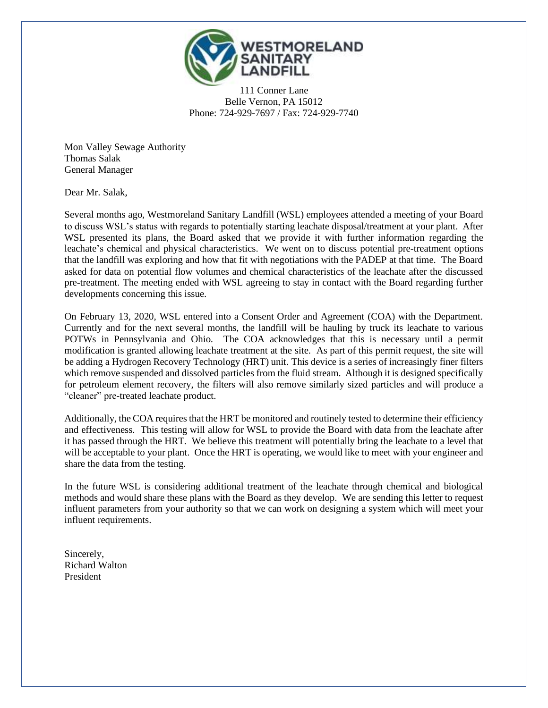

111 Conner Lane Belle Vernon, PA 15012 Phone: 724-929-7697 / Fax: 724-929-7740

Mon Valley Sewage Authority Thomas Salak General Manager

Dear Mr. Salak,

Several months ago, Westmoreland Sanitary Landfill (WSL) employees attended a meeting of your Board to discuss WSL's status with regards to potentially starting leachate disposal/treatment at your plant. After WSL presented its plans, the Board asked that we provide it with further information regarding the leachate's chemical and physical characteristics. We went on to discuss potential pre-treatment options that the landfill was exploring and how that fit with negotiations with the PADEP at that time. The Board asked for data on potential flow volumes and chemical characteristics of the leachate after the discussed pre-treatment. The meeting ended with WSL agreeing to stay in contact with the Board regarding further developments concerning this issue.

On February 13, 2020, WSL entered into a Consent Order and Agreement (COA) with the Department. Currently and for the next several months, the landfill will be hauling by truck its leachate to various POTWs in Pennsylvania and Ohio. The COA acknowledges that this is necessary until a permit modification is granted allowing leachate treatment at the site. As part of this permit request, the site will be adding a Hydrogen Recovery Technology (HRT) unit. This device is a series of increasingly finer filters which remove suspended and dissolved particles from the fluid stream. Although it is designed specifically for petroleum element recovery, the filters will also remove similarly sized particles and will produce a "cleaner" pre-treated leachate product.

Additionally, the COA requires that the HRT be monitored and routinely tested to determine their efficiency and effectiveness. This testing will allow for WSL to provide the Board with data from the leachate after it has passed through the HRT. We believe this treatment will potentially bring the leachate to a level that will be acceptable to your plant. Once the HRT is operating, we would like to meet with your engineer and share the data from the testing.

In the future WSL is considering additional treatment of the leachate through chemical and biological methods and would share these plans with the Board as they develop. We are sending this letter to request influent parameters from your authority so that we can work on designing a system which will meet your influent requirements.

Sincerely, Richard Walton President